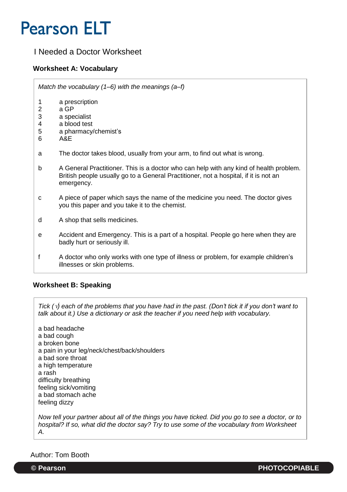## **Pearson ELT**

## I Needed a Doctor Worksheet

#### **Worksheet A: Vocabulary**

*Match the vocabulary (1–6) with the meanings (a–f)*

- 1 a prescription<br>2 a GP
- a GP
- 3 a specialist
- 4 a blood test
- 5 a pharmacy/chemist's
- 6 A&E
- a The doctor takes blood, usually from your arm, to find out what is wrong.
- b A General Practitioner. This is a doctor who can help with any kind of health problem. British people usually go to a General Practitioner, not a hospital, if it is not an emergency.
- c A piece of paper which says the name of the medicine you need. The doctor gives you this paper and you take it to the chemist.
- d A shop that sells medicines.
- e Accident and Emergency. This is a part of a hospital. People go here when they are badly hurt or seriously ill.
- f A doctor who only works with one type of illness or problem, for example children's illnesses or skin problems.

#### **Worksheet B: Speaking**

*Tick () each of the problems that you have had in the past. (Don't tick it if you don't want to talk about it.) Use a dictionary or ask the teacher if you need help with vocabulary.*

a bad headache a bad cough a broken bone a pain in your leg/neck/chest/back/shoulders a bad sore throat a high temperature a rash difficulty breathing feeling sick/vomiting a bad stomach ache feeling dizzy

*Now tell your partner about all of the things you have ticked. Did you go to see a doctor, or to hospital? If so, what did the doctor say? Try to use some of the vocabulary from Worksheet A.* 

Author: Tom Booth